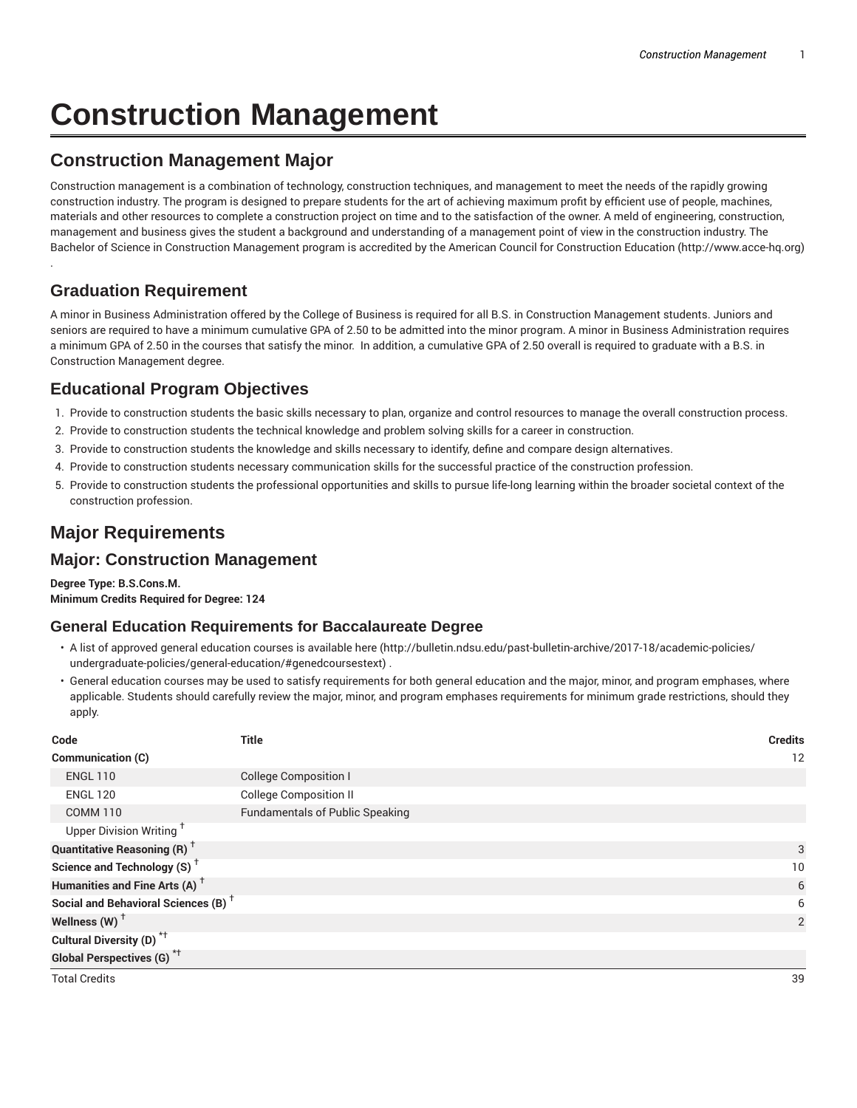# **Construction Management**

## **Construction Management Major**

Construction management is a combination of technology, construction techniques, and management to meet the needs of the rapidly growing construction industry. The program is designed to prepare students for the art of achieving maximum profit by efficient use of people, machines, materials and other resources to complete a construction project on time and to the satisfaction of the owner. A meld of engineering, construction, management and business gives the student a background and understanding of a management point of view in the construction industry. The Bachelor of Science in Construction Management program is accredited by the American Council for Construction Education (http://www.acce-hq.org)

## **Graduation Requirement**

.

A minor in Business Administration offered by the College of Business is required for all B.S. in Construction Management students. Juniors and seniors are required to have a minimum cumulative GPA of 2.50 to be admitted into the minor program. A minor in Business Administration requires a minimum GPA of 2.50 in the courses that satisfy the minor. In addition, a cumulative GPA of 2.50 overall is required to graduate with a B.S. in Construction Management degree.

## **Educational Program Objectives**

- 1. Provide to construction students the basic skills necessary to plan, organize and control resources to manage the overall construction process.
- 2. Provide to construction students the technical knowledge and problem solving skills for a career in construction.
- 3. Provide to construction students the knowledge and skills necessary to identify, define and compare design alternatives.
- 4. Provide to construction students necessary communication skills for the successful practice of the construction profession.
- 5. Provide to construction students the professional opportunities and skills to pursue life-long learning within the broader societal context of the construction profession.

# **Major Requirements**

## **Major: Construction Management**

**Degree Type: B.S.Cons.M. Minimum Credits Required for Degree: 124**

#### **General Education Requirements for Baccalaureate Degree**

- A list of approved general education courses is available here (http://bulletin.ndsu.edu/past-bulletin-archive/2017-18/academic-policies/ undergraduate-policies/general-education/#genedcoursestext) .
- General education courses may be used to satisfy requirements for both general education and the major, minor, and program emphases, where applicable. Students should carefully review the major, minor, and program emphases requirements for minimum grade restrictions, should they apply.

| Code                                            | <b>Title</b>                           | <b>Credits</b> |
|-------------------------------------------------|----------------------------------------|----------------|
| Communication (C)                               |                                        | 12             |
| <b>ENGL 110</b>                                 | <b>College Composition I</b>           |                |
| <b>ENGL 120</b>                                 | <b>College Composition II</b>          |                |
| <b>COMM 110</b>                                 | <b>Fundamentals of Public Speaking</b> |                |
| Upper Division Writing <sup>+</sup>             |                                        |                |
| <b>Quantitative Reasoning (R)</b> <sup>†</sup>  |                                        | 3              |
| Science and Technology (S) <sup>+</sup>         |                                        | 10             |
| Humanities and Fine Arts (A) <sup>+</sup>       |                                        | 6              |
| Social and Behavioral Sciences (B) <sup>+</sup> |                                        | 6              |
| Wellness $(W)$ <sup>+</sup>                     |                                        | 2              |
| Cultural Diversity (D) <sup>*†</sup>            |                                        |                |
| Global Perspectives (G) <sup>*†</sup>           |                                        |                |

Total Credits 39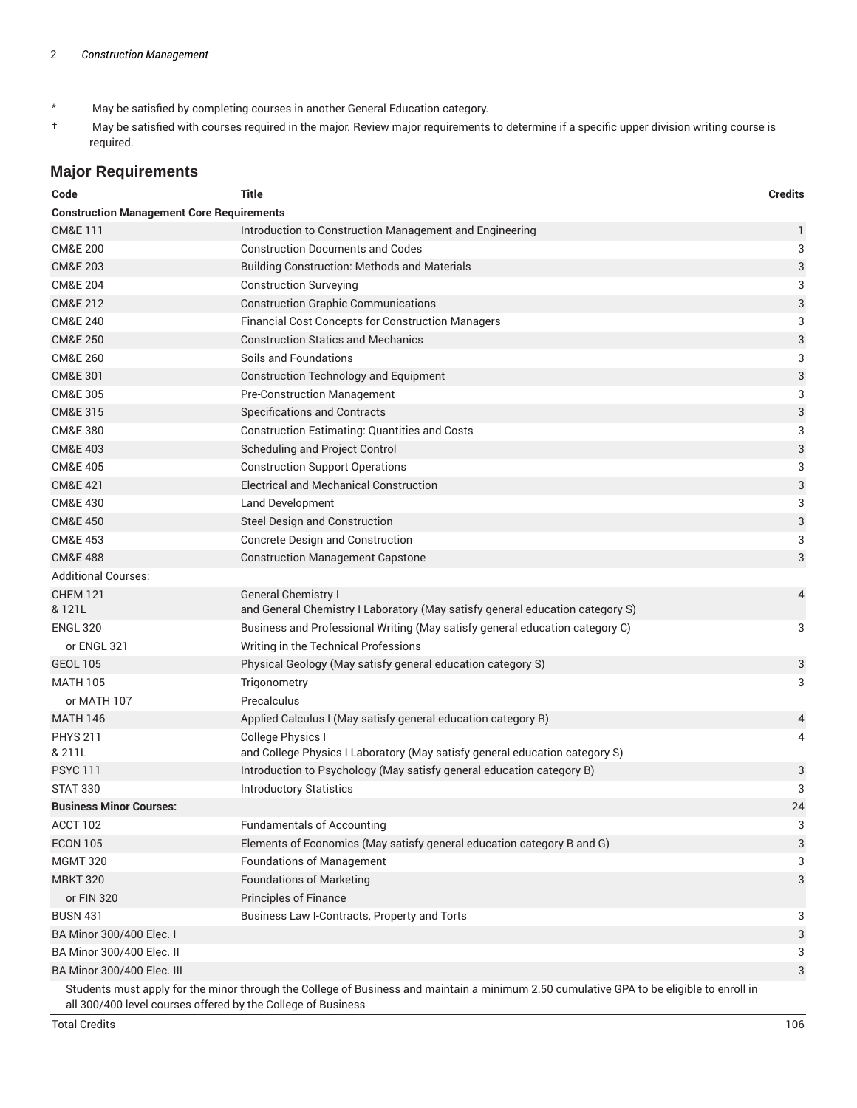- \* May be satisfied by completing courses in another General Education category.
- † May be satisfied with courses required in the major. Review major requirements to determine if a specific upper division writing course is required.

### **Major Requirements**

| Code                                                                                                                                                                                                     | <b>Title</b>                                                                  | <b>Credits</b> |  |
|----------------------------------------------------------------------------------------------------------------------------------------------------------------------------------------------------------|-------------------------------------------------------------------------------|----------------|--|
| <b>Construction Management Core Requirements</b>                                                                                                                                                         |                                                                               |                |  |
| <b>CM&amp;E111</b>                                                                                                                                                                                       | Introduction to Construction Management and Engineering                       | 1              |  |
| <b>CM&amp;E 200</b>                                                                                                                                                                                      | <b>Construction Documents and Codes</b>                                       | 3              |  |
| <b>CM&amp;E 203</b>                                                                                                                                                                                      | <b>Building Construction: Methods and Materials</b>                           | 3              |  |
| <b>CM&amp;E 204</b>                                                                                                                                                                                      | <b>Construction Surveying</b>                                                 | 3              |  |
| CM&E 212                                                                                                                                                                                                 | <b>Construction Graphic Communications</b>                                    | 3              |  |
| <b>CM&amp;E 240</b>                                                                                                                                                                                      | <b>Financial Cost Concepts for Construction Managers</b>                      | 3              |  |
| <b>CM&amp;E 250</b>                                                                                                                                                                                      | <b>Construction Statics and Mechanics</b>                                     | 3              |  |
| <b>CM&amp;E 260</b>                                                                                                                                                                                      | Soils and Foundations                                                         | 3              |  |
| <b>CM&amp;E 301</b>                                                                                                                                                                                      | <b>Construction Technology and Equipment</b>                                  | 3              |  |
| <b>CM&amp;E 305</b>                                                                                                                                                                                      | <b>Pre-Construction Management</b>                                            | 3              |  |
| <b>CM&amp;E 315</b>                                                                                                                                                                                      | <b>Specifications and Contracts</b>                                           | 3              |  |
| <b>CM&amp;E 380</b>                                                                                                                                                                                      | <b>Construction Estimating: Quantities and Costs</b>                          | 3              |  |
| <b>CM&amp;E 403</b>                                                                                                                                                                                      | Scheduling and Project Control                                                | 3              |  |
| <b>CM&amp;E 405</b>                                                                                                                                                                                      | <b>Construction Support Operations</b>                                        | 3              |  |
| <b>CM&amp;E 421</b>                                                                                                                                                                                      | <b>Electrical and Mechanical Construction</b>                                 | 3              |  |
| <b>CM&amp;E 430</b>                                                                                                                                                                                      | Land Development                                                              | 3              |  |
| <b>CM&amp;E 450</b>                                                                                                                                                                                      | Steel Design and Construction                                                 | 3              |  |
| <b>CM&amp;E 453</b>                                                                                                                                                                                      | <b>Concrete Design and Construction</b>                                       | 3              |  |
| <b>CM&amp;E 488</b>                                                                                                                                                                                      | <b>Construction Management Capstone</b>                                       | 3              |  |
| <b>Additional Courses:</b>                                                                                                                                                                               |                                                                               |                |  |
| <b>CHEM 121</b>                                                                                                                                                                                          | General Chemistry I                                                           | 4              |  |
| & 121L                                                                                                                                                                                                   | and General Chemistry I Laboratory (May satisfy general education category S) |                |  |
| <b>ENGL 320</b>                                                                                                                                                                                          | Business and Professional Writing (May satisfy general education category C)  | 3              |  |
| or ENGL 321                                                                                                                                                                                              | Writing in the Technical Professions                                          |                |  |
| <b>GEOL 105</b>                                                                                                                                                                                          | Physical Geology (May satisfy general education category S)                   | 3              |  |
| <b>MATH 105</b>                                                                                                                                                                                          | Trigonometry                                                                  | 3              |  |
| or MATH 107                                                                                                                                                                                              | Precalculus                                                                   |                |  |
| <b>MATH 146</b>                                                                                                                                                                                          | Applied Calculus I (May satisfy general education category R)                 | 4              |  |
| <b>PHYS 211</b>                                                                                                                                                                                          | College Physics I                                                             | 4              |  |
| & 211L                                                                                                                                                                                                   | and College Physics I Laboratory (May satisfy general education category S)   |                |  |
| <b>PSYC111</b>                                                                                                                                                                                           | Introduction to Psychology (May satisfy general education category B)         | 3              |  |
| <b>STAT 330</b>                                                                                                                                                                                          | <b>Introductory Statistics</b>                                                | 3              |  |
| <b>Business Minor Courses:</b>                                                                                                                                                                           |                                                                               | 24             |  |
| ACCT 102                                                                                                                                                                                                 | <b>Fundamentals of Accounting</b>                                             | 3              |  |
| <b>ECON 105</b>                                                                                                                                                                                          | Elements of Economics (May satisfy general education category B and G)        | 3              |  |
| <b>MGMT 320</b>                                                                                                                                                                                          | <b>Foundations of Management</b>                                              | 3              |  |
| <b>MRKT 320</b>                                                                                                                                                                                          | <b>Foundations of Marketing</b>                                               | 3              |  |
| or FIN 320                                                                                                                                                                                               | Principles of Finance                                                         |                |  |
| <b>BUSN 431</b>                                                                                                                                                                                          | Business Law I-Contracts, Property and Torts                                  | 3              |  |
| BA Minor 300/400 Elec. I                                                                                                                                                                                 |                                                                               | 3              |  |
| BA Minor 300/400 Elec. II                                                                                                                                                                                |                                                                               | 3              |  |
| BA Minor 300/400 Elec. III                                                                                                                                                                               |                                                                               | 3              |  |
| Students must apply for the minor through the College of Business and maintain a minimum 2.50 cumulative GPA to be eligible to enroll in<br>all 300/400 level courses offered by the College of Business |                                                                               |                |  |